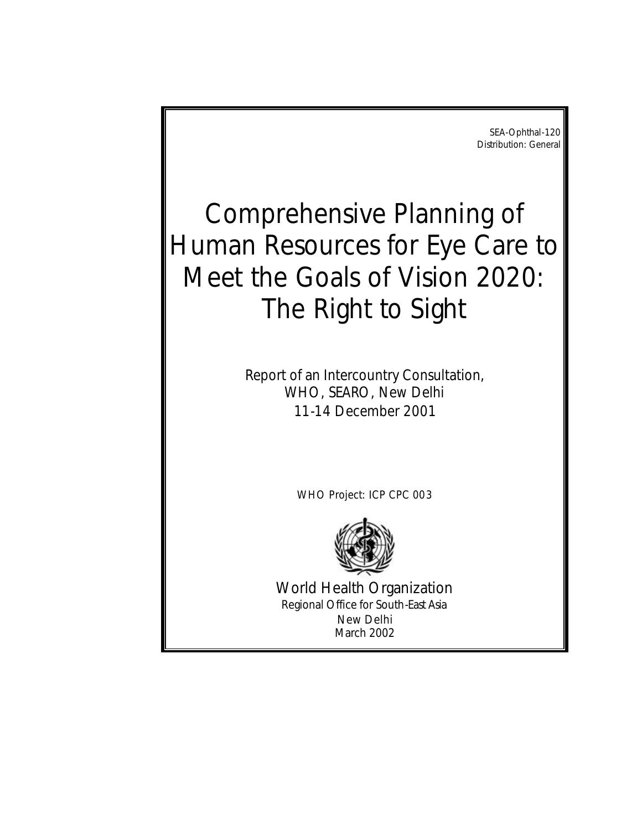SEA-Ophthal-120 Distribution: General

# Comprehensive Planning of Human Resources for Eye Care to Meet the Goals of Vision 2020: The Right to Sight

*Report of an Intercountry Consultation, WHO, SEARO, New Delhi 11-14 December 2001*

WHO Project: ICP CPC 003



World Health Organization Regional Office for South-East Asia New Delhi March 2002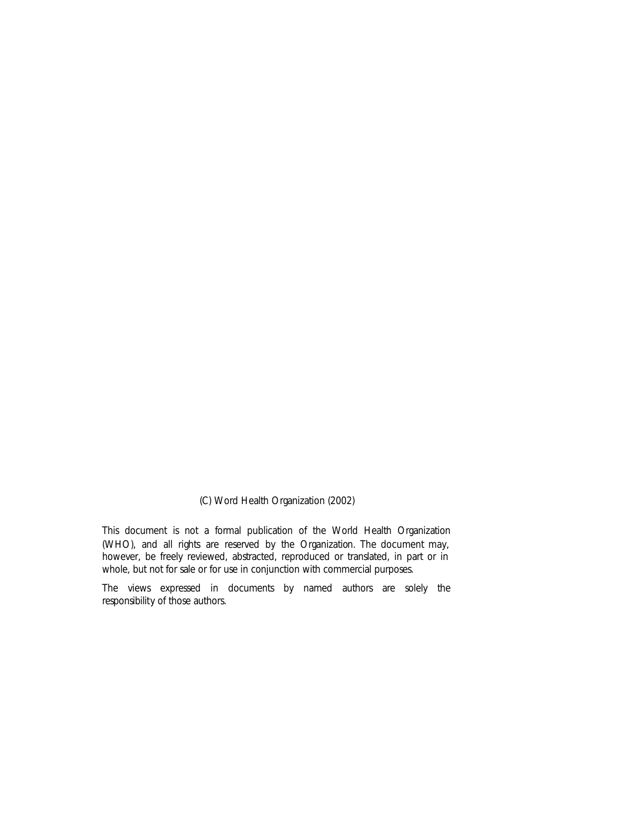(C) Word Health Organization (2002)

This document is not a formal publication of the World Health Organization (WHO), and all rights are reserved by the Organization. The document may, however, be freely reviewed, abstracted, reproduced or translated, in part or in whole, but not for sale or for use in conjunction with commercial purposes.

The views expressed in documents by named authors are solely the responsibility of those authors.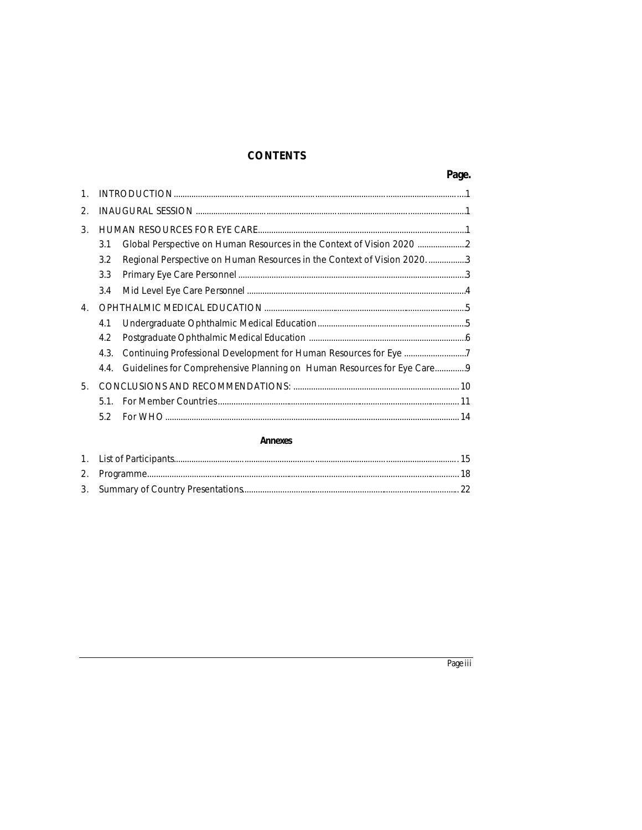# **CONTENTS**

| 2. |      |                                                                          |  |
|----|------|--------------------------------------------------------------------------|--|
| 3. |      |                                                                          |  |
|    | 3.1  | Global Perspective on Human Resources in the Context of Vision 2020      |  |
|    | 3.2  | Regional Perspective on Human Resources in the Context of Vision 2020. 3 |  |
|    | 3.3  |                                                                          |  |
|    | 3.4  |                                                                          |  |
| 4. |      |                                                                          |  |
|    | 4.1  |                                                                          |  |
|    | 4.2  |                                                                          |  |
|    | 4.3. |                                                                          |  |
|    | 4.4. | Guidelines for Comprehensive Planning on Human Resources for Eye Care9   |  |
| 5. |      |                                                                          |  |
|    | 5.1. |                                                                          |  |
|    | 5.2  |                                                                          |  |
|    |      |                                                                          |  |

#### **Annexes**

# Page iii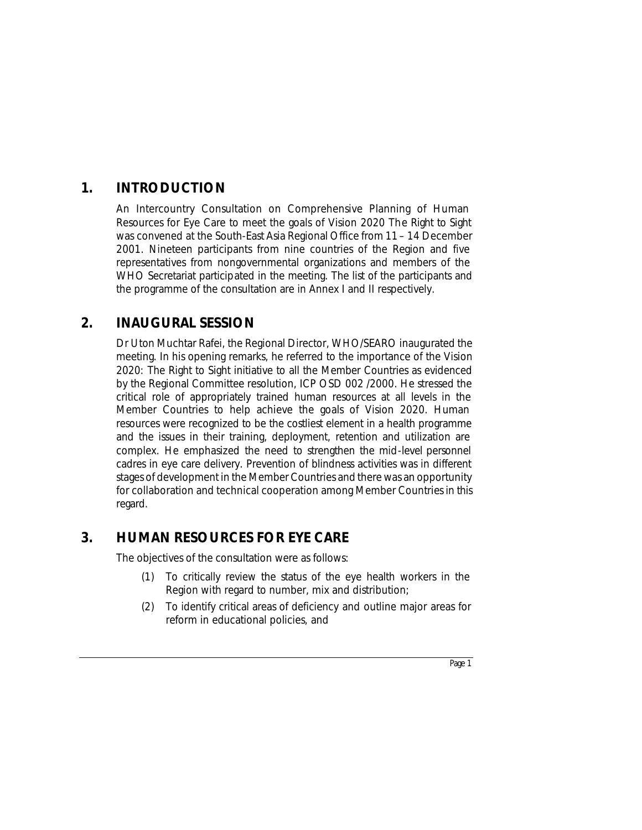# **1. INTRODUCTION**

An Intercountry Consultation on Comprehensive Planning of Human Resources for Eye Care to meet the goals of Vision 2020 The Right to Sight was convened at the South-East Asia Regional Office from 11 – 14 December 2001. Nineteen participants from nine countries of the Region and five representatives from nongovernmental organizations and members of the WHO Secretariat participated in the meeting. The list of the participants and the programme of the consultation are in Annex I and II respectively.

# **2. INAUGURAL SESSION**

Dr Uton Muchtar Rafei, the Regional Director, WHO/SEARO inaugurated the meeting. In his opening remarks, he referred to the importance of the Vision 2020: The Right to Sight initiative to all the Member Countries as evidenced by the Regional Committee resolution, ICP OSD 002 /2000. He stressed the critical role of appropriately trained human resources at all levels in the Member Countries to help achieve the goals of Vision 2020. Human resources were recognized to be the costliest element in a health programme and the issues in their training, deployment, retention and utilization are complex. He emphasized the need to strengthen the mid-level personnel cadres in eye care delivery. Prevention of blindness activities was in different stages of development in the Member Countries and there was an opportunity for collaboration and technical cooperation among Member Countries in this regard.

# **3. HUMAN RESOURCES FOR EYE CARE**

The objectives of the consultation were as follows:

- (1) To critically review the status of the eye health workers in the Region with regard to number, mix and distribution;
- (2) To identify critical areas of deficiency and outline major areas for reform in educational policies, and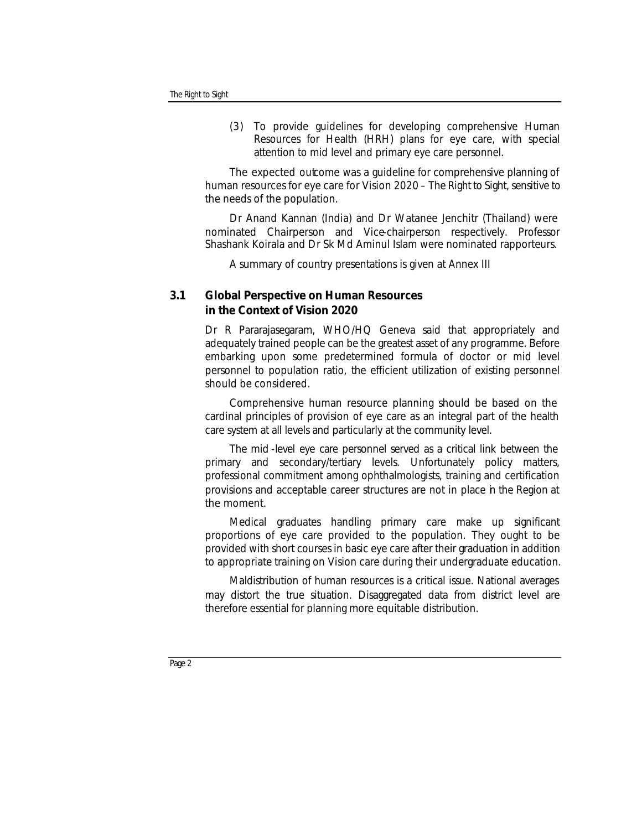(3) To provide guidelines for developing comprehensive Human Resources for Health (HRH) plans for eye care, with special attention to mid level and primary eye care personnel.

The expected outcome was a guideline for comprehensive planning of human resources for eye care for Vision 2020 – The Right to Sight, sensitive to the needs of the population.

Dr Anand Kannan (India) and Dr Watanee Jenchitr (Thailand) were nominated Chairperson and Vice-chairperson respectively. Professor Shashank Koirala and Dr Sk Md Aminul Islam were nominated rapporteurs.

A summary of country presentations is given at Annex III

# **3.1 Global Perspective on Human Resources in the Context of Vision 2020**

Dr R Pararajasegaram, WHO/HQ Geneva said that appropriately and adequately trained people can be the greatest asset of any programme. Before embarking upon some predetermined formula of doctor or mid level personnel to population ratio, the efficient utilization of existing personnel should be considered.

Comprehensive human resource planning should be based on the cardinal principles of provision of eye care as an integral part of the health care system at all levels and particularly at the community level.

The mid -level eye care personnel served as a critical link between the primary and secondary/tertiary levels. Unfortunately policy matters, professional commitment among ophthalmologists, training and certification provisions and acceptable career structures are not in place in the Region at the moment.

Medical graduates handling primary care make up significant proportions of eye care provided to the population. They ought to be provided with short courses in basic eye care after their graduation in addition to appropriate training on Vision care during their undergraduate education.

Maldistribution of human resources is a critical issue. National averages may distort the true situation. Disaggregated data from district level are therefore essential for planning more equitable distribution.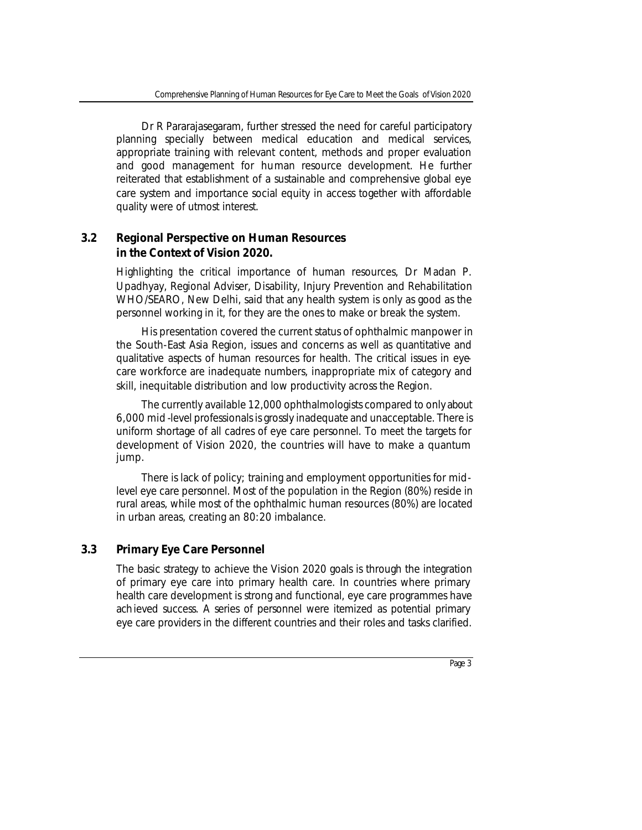Dr R Pararajasegaram, further stressed the need for careful participatory planning specially between medical education and medical services, appropriate training with relevant content, methods and proper evaluation and good management for human resource development. He further reiterated that establishment of a sustainable and comprehensive global eye care system and importance social equity in access together with affordable quality were of utmost interest.

# **3.2 Regional Perspective on Human Resources in the Context of Vision 2020.**

Highlighting the critical importance of human resources, Dr Madan P. Upadhyay, Regional Adviser, Disability, Injury Prevention and Rehabilitation WHO/SEARO, New Delhi, said that any health system is only as good as the personnel working in it, for they are the ones to make or break the system.

His presentation covered the current status of ophthalmic manpower in the South-East Asia Region, issues and concerns as well as quantitative and qualitative aspects of human resources for health. The critical issues in eyecare workforce are inadequate numbers, inappropriate mix of category and skill, inequitable distribution and low productivity across the Region.

The currently available 12,000 ophthalmologists compared to only about 6,000 mid -level professionals is grossly inadequate and unacceptable. There is uniform shortage of all cadres of eye care personnel. To meet the targets for development of Vision 2020, the countries will have to make a quantum jump.

There is lack of policy; training and employment opportunities for midlevel eye care personnel. Most of the population in the Region (80%) reside in rural areas, while most of the ophthalmic human resources (80%) are located in urban areas, creating an 80:20 imbalance.

# **3.3 Primary Eye Care Personnel**

The basic strategy to achieve the Vision 2020 goals is through the integration of primary eye care into primary health care. In countries where primary health care development is strong and functional, eye care programmes have achieved success. A series of personnel were itemized as potential primary eye care providers in the different countries and their roles and tasks clarified.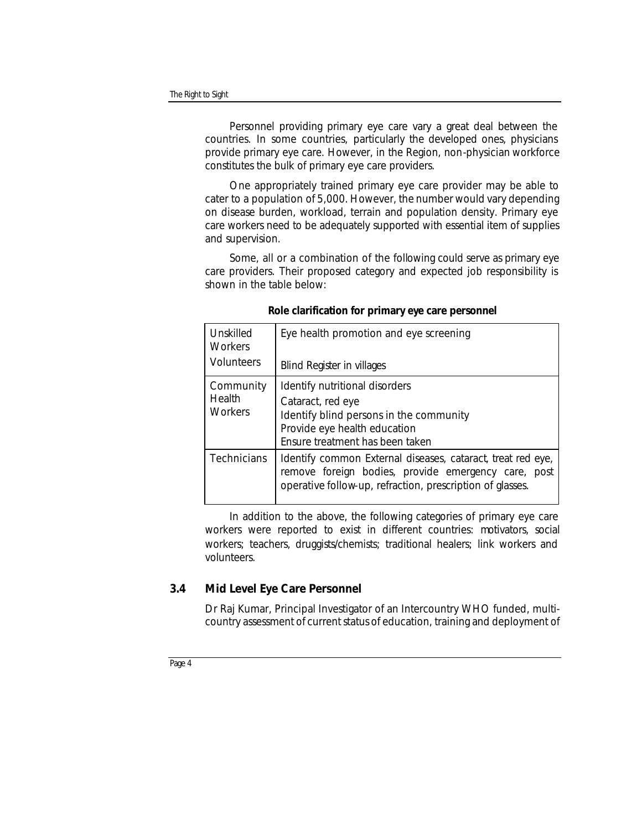Personnel providing primary eye care vary a great deal between the countries. In some countries, particularly the developed ones, physicians provide primary eye care. However, in the Region, non-physician workforce constitutes the bulk of primary eye care providers.

One appropriately trained primary eye care provider may be able to cater to a population of 5,000. However, the number would vary depending on disease burden, workload, terrain and population density. Primary eye care workers need to be adequately supported with essential item of supplies and supervision.

Some, all or a combination of the following could serve as primary eye care providers. Their proposed category and expected job responsibility is shown in the table below:

| Unskilled<br><b>Workers</b>           | Eye health promotion and eye screening                                                                                                                                          |  |  |  |  |
|---------------------------------------|---------------------------------------------------------------------------------------------------------------------------------------------------------------------------------|--|--|--|--|
| <b>Volunteers</b>                     | <b>Blind Register in villages</b>                                                                                                                                               |  |  |  |  |
| Community<br>Health<br><b>Workers</b> | Identify nutritional disorders<br>Cataract, red eye<br>Identify blind persons in the community<br>Provide eye health education<br>Ensure treatment has been taken               |  |  |  |  |
| Technicians                           | Identify common External diseases, cataract, treat red eye,<br>remove foreign bodies, provide emergency care, post<br>operative follow-up, refraction, prescription of glasses. |  |  |  |  |

*Role clarification for primary eye care personnel*

In addition to the above, the following categories of primary eye care workers were reported to exist in different countries: motivators, social workers; teachers, druggists/chemists; traditional healers; link workers and volunteers.

# **3.4 Mid Level Eye Care Personnel**

Dr Raj Kumar, Principal Investigator of an Intercountry WHO funded, multicountry assessment of current status of education, training and deployment of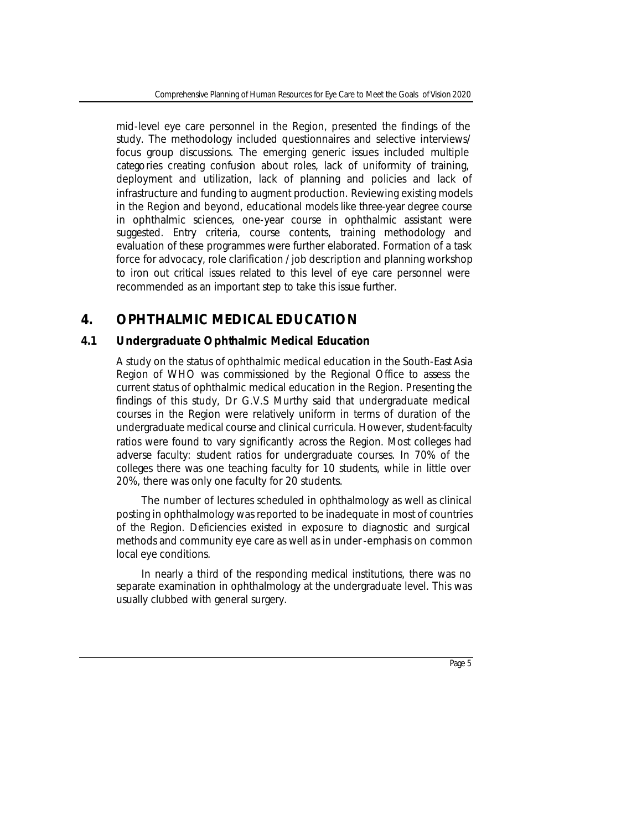mid-level eye care personnel in the Region, presented the findings of the study. The methodology included questionnaires and selective interviews/ focus group discussions. The emerging generic issues included multiple categories creating confusion about roles, lack of uniformity of training, deployment and utilization, lack of planning and policies and lack of infrastructure and funding to augment production. Reviewing existing models in the Region and beyond, educational models like three-year degree course in ophthalmic sciences, one-year course in ophthalmic assistant were suggested. Entry criteria, course contents, training methodology and evaluation of these programmes were further elaborated. Formation of a task force for advocacy, role clarification / job description and planning workshop to iron out critical issues related to this level of eye care personnel were recommended as an important step to take this issue further.

# **4. OPHTHALMIC MEDICAL EDUCATION**

# **4.1 Undergraduate Ophthalmic Medical Education**

A study on the status of ophthalmic medical education in the South-East Asia Region of WHO was commissioned by the Regional Office to assess the current status of ophthalmic medical education in the Region. Presenting the findings of this study, Dr G.V.S Murthy said that undergraduate medical courses in the Region were relatively uniform in terms of duration of the undergraduate medical course and clinical curricula. However, student-faculty ratios were found to vary significantly across the Region. Most colleges had adverse faculty: student ratios for undergraduate courses. In 70% of the colleges there was one teaching faculty for 10 students, while in little over 20%, there was only one faculty for 20 students.

The number of lectures scheduled in ophthalmology as well as clinical posting in ophthalmology was reported to be inadequate in most of countries of the Region. Deficiencies existed in exposure to diagnostic and surgical methods and community eye care as well as in under-emphasis on common local eye conditions.

In nearly a third of the responding medical institutions, there was no separate examination in ophthalmology at the undergraduate level. This was usually clubbed with general surgery.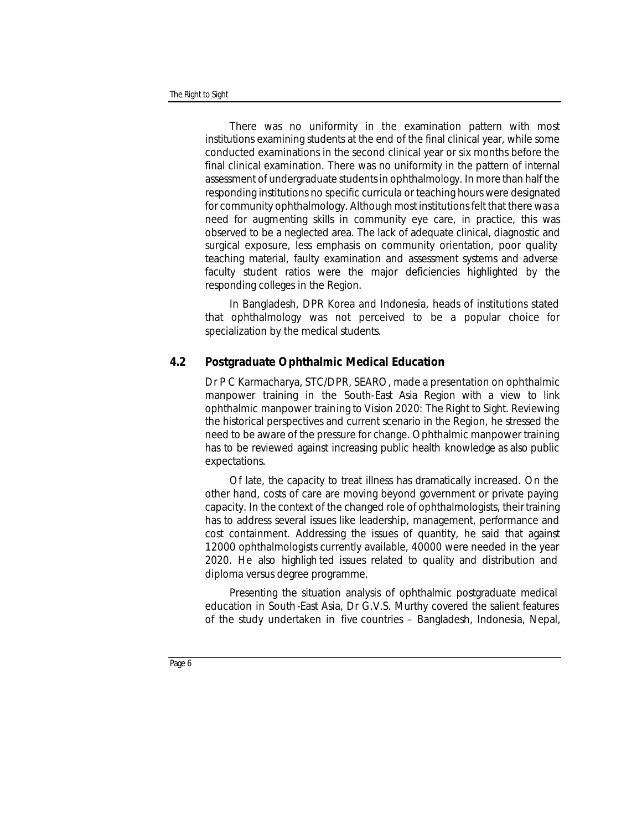There was no uniformity in the examination pattern with most institutions examining students at the end of the final clinical year, while some conducted examinations in the second clinical year or six months before the final clinical examination. There was no uniformity in the pattern of internal assessment of undergraduate students in ophthalmology. In more than half the responding institutions no specific curricula or teaching hours were designated for community ophthalmology. Although most institutions felt that there was a need for augmenting skills in community eye care, in practice, this was observed to be a neglected area. The lack of adequate clinical, diagnostic and surgical exposure, less emphasis on community orientation, poor quality teaching material, faulty examination and assessment systems and adverse faculty student ratios were the major deficiencies highlighted by the responding colleges in the Region.

In Bangladesh, DPR Korea and Indonesia, heads of institutions stated that ophthalmology was not perceived to be a popular choice for specialization by the medical students.

# **4.2 Postgraduate Ophthalmic Medical Education**

Dr P C Karmacharya, STC/DPR, SEARO, made a presentation on ophthalmic manpower training in the South-East Asia Region with a view to link ophthalmic manpower training to Vision 2020: The Right to Sight. Reviewing the historical perspectives and current scenario in the Region, he stressed the need to be aware of the pressure for change. Ophthalmic manpower training has to be reviewed against increasing public health knowledge as also public expectations.

Of late, the capacity to treat illness has dramatically increased. On the other hand, costs of care are moving beyond government or private paying capacity. In the context of the changed role of ophthalmologists, their training has to address several issues like leadership, management, performance and cost containment. Addressing the issues of quantity, he said that against 12000 ophthalmologists currently available, 40000 were needed in the year 2020. He also highligh ted issues related to quality and distribution and diploma versus degree programme.

Presenting the situation analysis of ophthalmic postgraduate medical education in South -East Asia, Dr G.V.S. Murthy covered the salient features of the study undertaken in five countries – Bangladesh, Indonesia, Nepal,

*Page 6*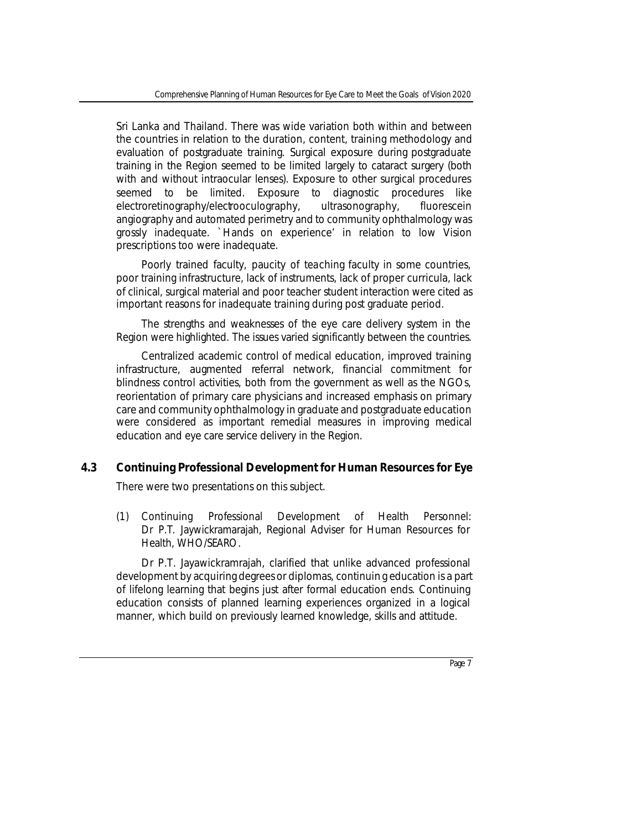Sri Lanka and Thailand. There was wide variation both within and between the countries in relation to the duration, content, training methodology and evaluation of postgraduate training. Surgical exposure during postgraduate training in the Region seemed to be limited largely to cataract surgery (both with and without intraocular lenses). Exposure to other surgical procedures seemed to be limited. Exposure to diagnostic procedures like electroretinography/electrooculography, ultrasonography, fluorescein angiography and automated perimetry and to community ophthalmology was grossly inadequate. `Hands on experience' in relation to low Vision prescriptions too were inadequate.

Poorly trained faculty, paucity of teaching faculty in some countries, poor training infrastructure, lack of instruments, lack of proper curricula, lack of clinical, surgical material and poor teacher student interaction were cited as important reasons for inadequate training during post graduate period.

The strengths and weaknesses of the eye care delivery system in the Region were highlighted. The issues varied significantly between the countries.

Centralized academic control of medical education, improved training infrastructure, augmented referral network, financial commitment for blindness control activities, both from the government as well as the NGOs, reorientation of primary care physicians and increased emphasis on primary care and community ophthalmology in graduate and postgraduate education were considered as important remedial measures in improving medical education and eye care service delivery in the Region.

# **4.3 Continuing Professional Development for Human Resources for Eye**

There were two presentations on this subject.

*(1) Continuing Professional Development of Health Personnel: Dr P.T. Jaywickramarajah, Regional Adviser for Human Resources for Health, WHO/SEARO.* 

Dr P.T. Jayawickramrajah, clarified that unlike advanced professional development by acquiring degrees or diplomas, continuin g education is a part of lifelong learning that begins just after formal education ends. Continuing education consists of planned learning experiences organized in a logical manner, which build on previously learned knowledge, skills and attitude.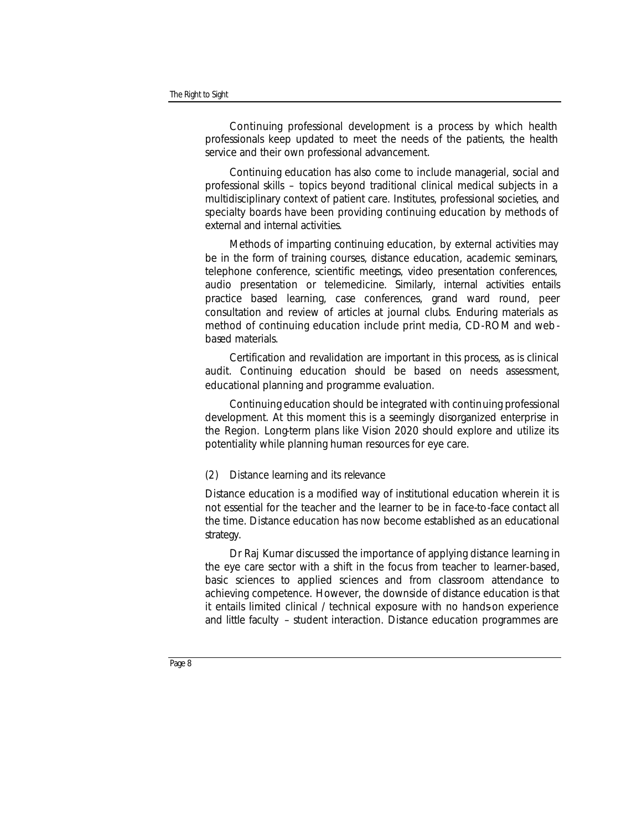Continuing professional development is a process by which health professionals keep updated to meet the needs of the patients, the health service and their own professional advancement.

Continuing education has also come to include managerial, social and professional skills – topics beyond traditional clinical medical subjects in a multidisciplinary context of patient care. Institutes, professional societies, and specialty boards have been providing continuing education by methods of external and internal activities.

Methods of imparting continuing education, by external activities may be in the form of training courses, distance education, academic seminars, telephone conference, scientific meetings, video presentation conferences, audio presentation or telemedicine. Similarly, internal activities entails practice based learning, case conferences, grand ward round, peer consultation and review of articles at journal clubs. Enduring materials as method of continuing education include print media, CD-ROM and web based materials.

Certification and revalidation are important in this process, as is clinical audit. Continuing education should be based on needs assessment, educational planning and programme evaluation.

Continuing education should be integrated with continuing professional development. At this moment this is a seemingly disorganized enterprise in the Region. Long-term plans like Vision 2020 should explore and utilize its potentiality while planning human resources for eye care.

#### *(2) Distance learning and its relevance*

Distance education is a modified way of institutional education wherein it is not essential for the teacher and the learner to be in face-to-face contact all the time. Distance education has now become established as an educational strategy.

Dr Raj Kumar discussed the importance of applying distance learning in the eye care sector with a shift in the focus from teacher to learner-based, basic sciences to applied sciences and from classroom attendance to achieving competence. However, the downside of distance education is that it entails limited clinical / technical exposure with no hands-on experience and little faculty – student interaction. Distance education programmes are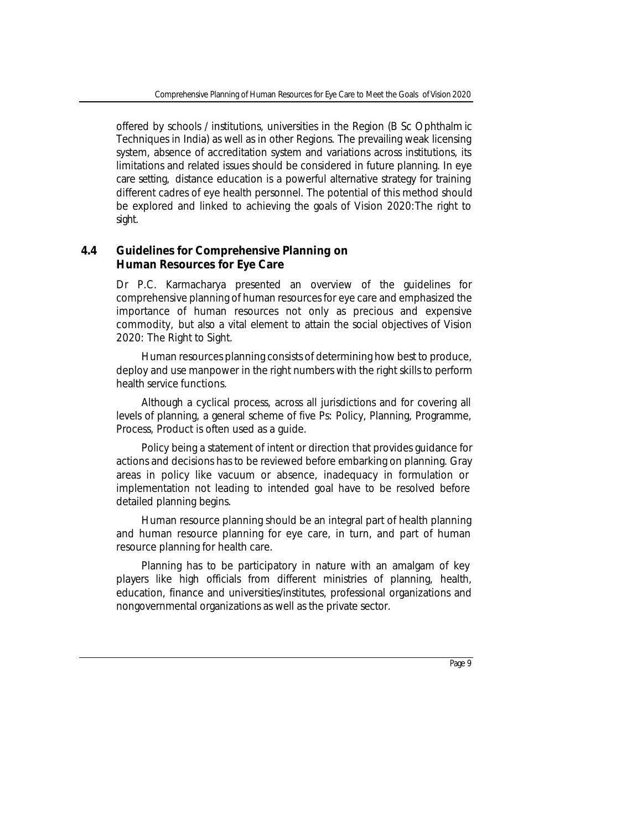offered by schools / institutions, universities in the Region (B Sc Ophthalm ic Techniques in India) as well as in other Regions. The prevailing weak licensing system, absence of accreditation system and variations across institutions, its limitations and related issues should be considered in future planning. In eye care setting, distance education is a powerful alternative strategy for training different cadres of eye health personnel. The potential of this method should be explored and linked to achieving the goals of Vision 2020:The right to sight.

# **4.4 Guidelines for Comprehensive Planning on Human Resources for Eye Care**

Dr P.C. Karmacharya presented an overview of the guidelines for comprehensive planning of human resources for eye care and emphasized the importance of human resources not only as precious and expensive commodity, but also a vital element to attain the social objectives of Vision 2020: The Right to Sight.

Human resources planning consists of determining how best to produce, deploy and use manpower in the right numbers with the right skills to perform health service functions.

Although a cyclical process, across all jurisdictions and for covering all levels of planning, a general scheme of five Ps: Policy, Planning, Programme, Process, Product is often used as a guide.

Policy being a statement of intent or direction that provides guidance for actions and decisions has to be reviewed before embarking on planning. Gray areas in policy like vacuum or absence, inadequacy in formulation or implementation not leading to intended goal have to be resolved before detailed planning begins.

Human resource planning should be an integral part of health planning and human resource planning for eye care, in turn, and part of human resource planning for health care.

Planning has to be participatory in nature with an amalgam of key players like high officials from different ministries of planning, health, education, finance and universities/institutes, professional organizations and nongovernmental organizations as well as the private sector.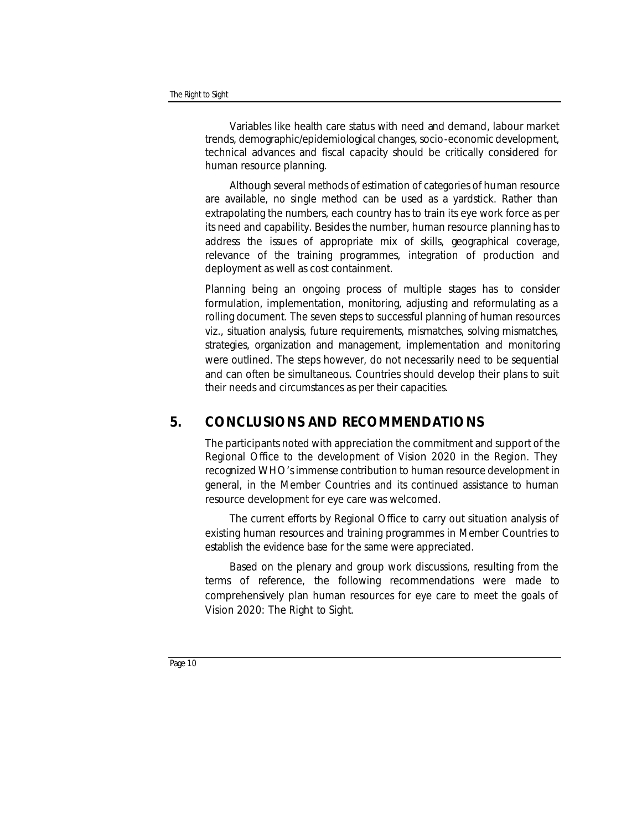Variables like health care status with need and demand, labour market trends, demographic/epidemiological changes, socio-economic development, technical advances and fiscal capacity should be critically considered for human resource planning.

Although several methods of estimation of categories of human resource are available, no single method can be used as a yardstick. Rather than extrapolating the numbers, each country has to train its eye work force as per its need and capability. Besides the number, human resource planning has to address the issues of appropriate mix of skills, geographical coverage, relevance of the training programmes, integration of production and deployment as well as cost containment.

Planning being an ongoing process of multiple stages has to consider formulation, implementation, monitoring, adjusting and reformulating as a rolling document. The seven steps to successful planning of human resources viz., situation analysis, future requirements, mismatches, solving mismatches, strategies, organization and management, implementation and monitoring were outlined. The steps however, do not necessarily need to be sequential and can often be simultaneous. Countries should develop their plans to suit their needs and circumstances as per their capacities.

# **5. CONCLUSIONS AND RECOMMENDATIONS**

The participants noted with appreciation the commitment and support of the Regional Office to the development of Vision 2020 in the Region. They recognized WHO's immense contribution to human resource development in general, in the Member Countries and its continued assistance to human resource development for eye care was welcomed.

The current efforts by Regional Office to carry out situation analysis of existing human resources and training programmes in Member Countries to establish the evidence base for the same were appreciated.

Based on the plenary and group work discussions, resulting from the terms of reference, the following recommendations were made to comprehensively plan human resources for eye care to meet the goals of Vision 2020: The Right to Sight.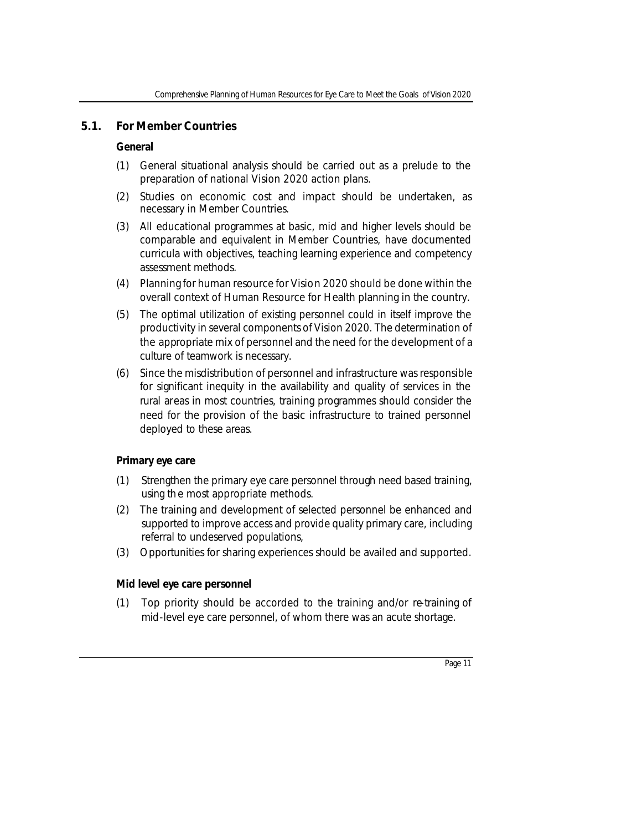# **5.1. For Member Countries**

# *General*

- (1) General situational analysis should be carried out as a prelude to the preparation of national Vision 2020 action plans.
- (2) Studies on economic cost and impact should be undertaken, as necessary in Member Countries.
- (3) All educational programmes at basic, mid and higher levels should be comparable and equivalent in Member Countries, have documented curricula with objectives, teaching learning experience and competency assessment methods.
- (4) Planning for human resource for Vision 2020 should be done within the overall context of Human Resource for Health planning in the country.
- (5) The optimal utilization of existing personnel could in itself improve the productivity in several components of Vision 2020. The determination of the appropriate mix of personnel and the need for the development of a culture of teamwork is necessary.
- (6) Since the misdistribution of personnel and infrastructure was responsible for significant inequity in the availability and quality of services in the rural areas in most countries, training programmes should consider the need for the provision of the basic infrastructure to trained personnel deployed to these areas.

# *Primary eye care*

- (1) Strengthen the primary eye care personnel through need based training, using the most appropriate methods.
- (2) The training and development of selected personnel be enhanced and supported to improve access and provide quality primary care, including referral to undeserved populations,
- (3) Opportunities for sharing experiences should be availed and supported.

# *Mid level eye care personnel*

(1) Top priority should be accorded to the training and/or re-training of mid-level eye care personnel, of whom there was an acute shortage.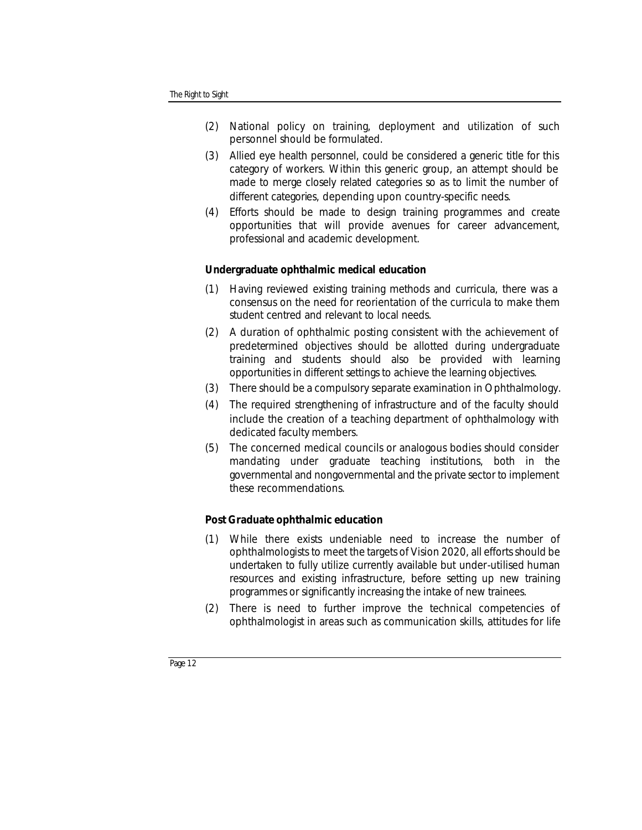- (2) National policy on training, deployment and utilization of such personnel should be formulated.
- (3) Allied eye health personnel, could be considered a generic title for this category of workers. Within this generic group, an attempt should be made to merge closely related categories so as to limit the number of different categories, depending upon country-specific needs.
- (4) Efforts should be made to design training programmes and create opportunities that will provide avenues for career advancement, professional and academic development.

## *Undergraduate ophthalmic medical education*

- (1) Having reviewed existing training methods and curricula, there was a consensus on the need for reorientation of the curricula to make them student centred and relevant to local needs.
- (2) A duration of ophthalmic posting consistent with the achievement of predetermined objectives should be allotted during undergraduate training and students should also be provided with learning opportunities in different settings to achieve the learning objectives.
- (3) There should be a compulsory separate examination in Ophthalmology.
- (4) The required strengthening of infrastructure and of the faculty should include the creation of a teaching department of ophthalmology with dedicated faculty members.
- (5) The concerned medical councils or analogous bodies should consider mandating under graduate teaching institutions, both in the governmental and nongovernmental and the private sector to implement these recommendations.

# *Post Graduate ophthalmic education*

- (1) While there exists undeniable need to increase the number of ophthalmologists to meet the targets of Vision 2020, all efforts should be undertaken to fully utilize currently available but under-utilised human resources and existing infrastructure, before setting up new training programmes or significantly increasing the intake of new trainees.
- (2) There is need to further improve the technical competencies of ophthalmologist in areas such as communication skills, attitudes for life

*Page 12*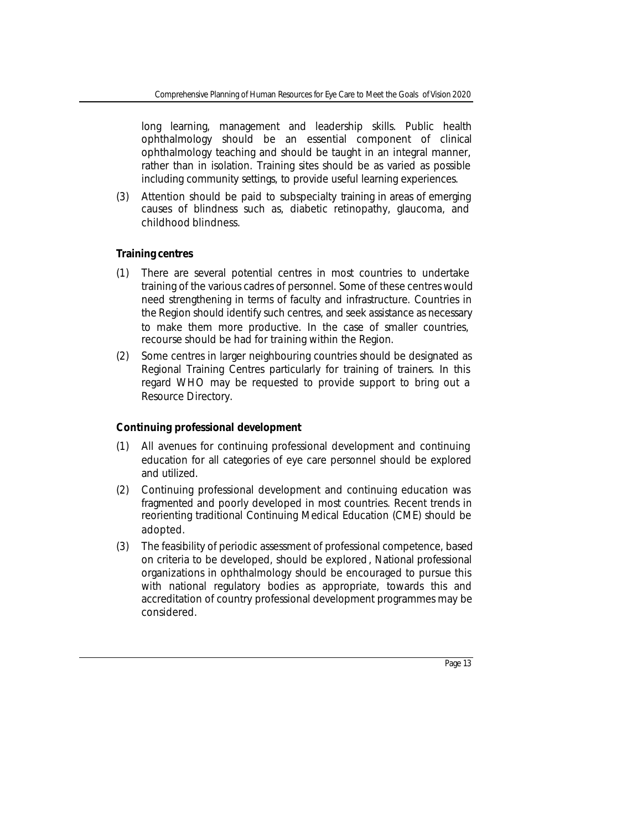long learning, management and leadership skills. Public health ophthalmology should be an essential component of clinical ophthalmology teaching and should be taught in an integral manner, rather than in isolation. Training sites should be as varied as possible including community settings, to provide useful learning experiences.

(3) Attention should be paid to subspecialty training in areas of emerging causes of blindness such as, diabetic retinopathy, glaucoma, and childhood blindness.

# *Training centres*

- (1) There are several potential centres in most countries to undertake training of the various cadres of personnel. Some of these centres would need strengthening in terms of faculty and infrastructure. Countries in the Region should identify such centres, and seek assistance as necessary to make them more productive. In the case of smaller countries, recourse should be had for training within the Region.
- (2) Some centres in larger neighbouring countries should be designated as Regional Training Centres particularly for training of trainers. In this regard WHO may be requested to provide support to bring out a Resource Directory.

# *Continuing professional development*

- (1) All avenues for continuing professional development and continuing education for all categories of eye care personnel should be explored and utilized.
- (2) Continuing professional development and continuing education was fragmented and poorly developed in most countries. Recent trends in reorienting traditional Continuing Medical Education (CME) should be adopted.
- (3) The feasibility of periodic assessment of professional competence, based on criteria to be developed, should be explored , National professional organizations in ophthalmology should be encouraged to pursue this with national regulatory bodies as appropriate, towards this and accreditation of country professional development programmes may be considered.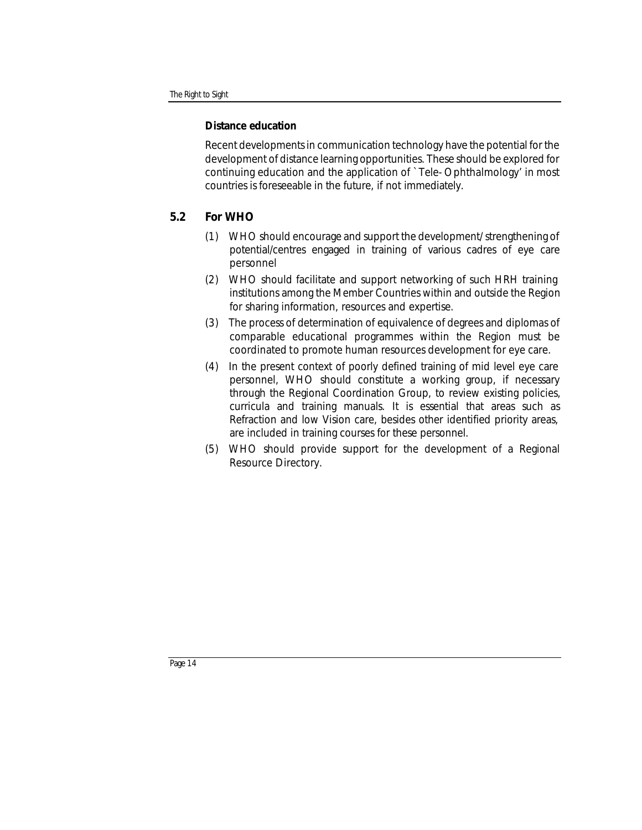# *Distance education*

Recent developments in communication technology have the potential for the development of distance learning opportunities. These should be explored for continuing education and the application of `Tele- Ophthalmology' in most countries is foreseeable in the future, if not immediately.

# **5.2 For WHO**

- (1) WHO should encourage and support the development/ strengthening of potential/centres engaged in training of various cadres of eye care personnel
- (2) WHO should facilitate and support networking of such HRH training institutions among the Member Countries within and outside the Region for sharing information, resources and expertise.
- (3) The process of determination of equivalence of degrees and diplomas of comparable educational programmes within the Region must be coordinated to promote human resources development for eye care.
- (4) In the present context of poorly defined training of mid level eye care personnel, WHO should constitute a working group, if necessary through the Regional Coordination Group, to review existing policies, curricula and training manuals. It is essential that areas such as Refraction and low Vision care, besides other identified priority areas, are included in training courses for these personnel.
- (5) WHO should provide support for the development of a Regional Resource Directory.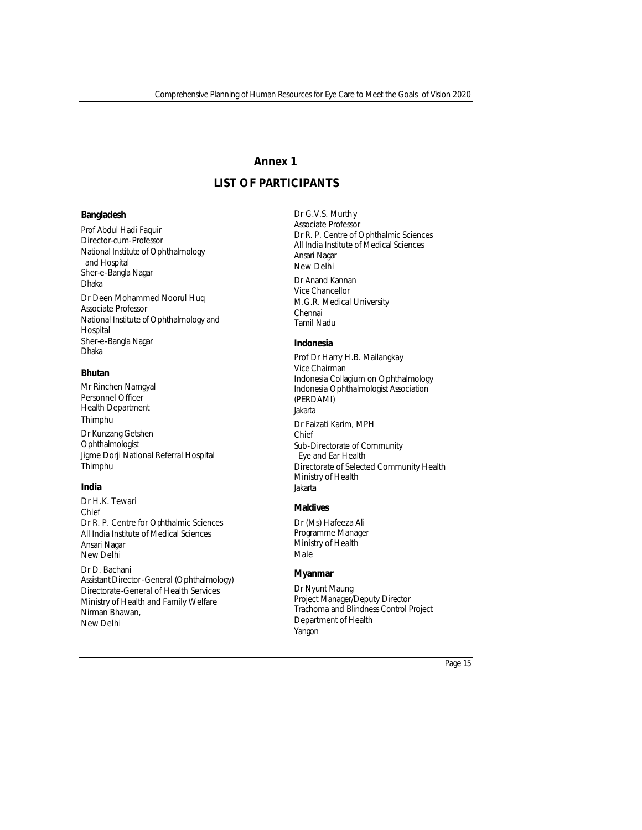# **Annex 1**

# **LIST OF PARTICIPANTS**

#### **Bangladesh**

Prof Abdul Hadi Faquir Director-cum-Professor National Institute of Ophthalmology and Hospital Sher-e-Bangla Nagar Dhaka Dr Deen Mohammed Noorul Huq Associate Professor National Institute of Ophthalmology and Hospital Sher-e-Bangla Nagar Dhaka

#### **Bhutan**

Mr Rinchen Namgyal Personnel Officer Health Department Thimphu

Dr Kunzang Getshen **Ophthalmologist** Jigme Dorji National Referral Hospital Thimphu

#### **India**

Dr H.K. Tewari Chief Dr R. P. Centre for Ophthalmic Sciences All India Institute of Medical Sciences Ansari Nagar New Delhi

Dr D. Bachani Assistant Director-General (Ophthalmology) Directorate-General of Health Services Ministry of Health and Family Welfare Nirman Bhawan, New Delhi

Dr G.V.S. Murthy Associate Professor Dr R. P. Centre of Ophthalmic Sciences All India Institute of Medical Sciences Ansari Nagar New Delhi Dr Anand Kannan Vice Chancellor M.G.R. Medical University Chennai Tamil Nadu

#### **Indonesia**

Prof Dr Harry H.B. Mailangkay Vice Chairman Indonesia Collagium on Ophthalmology Indonesia Ophthalmologist Association (PERDAMI) Jakarta Dr Faizati Karim, MPH Chief Sub-Directorate of Community Eye and Ear Health Directorate of Selected Community Health Ministry of Health Jakarta

#### **Maldives**

Dr (Ms) Hafeeza Ali Programme Manager Ministry of Health Male

#### **Myanmar**

Dr Nyunt Maung Project Manager/Deputy Director Trachoma and Blindness Control Project Department of Health Yangon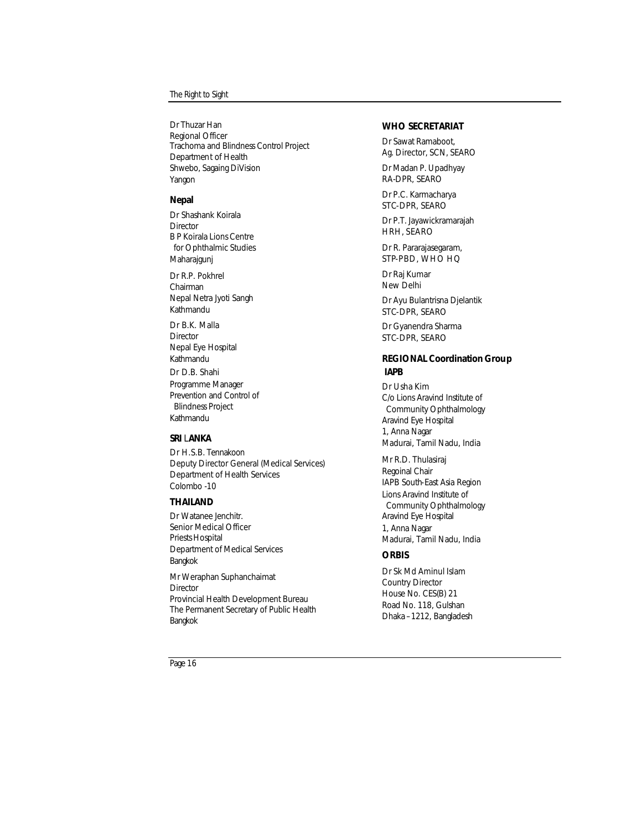Dr Thuzar Han Regional Officer Trachoma and Blindness Control Project Department of Health Shwebo, Sagaing DiVision Yangon

#### **Nepal**

Dr Shashank Koirala **Director** B P Koirala Lions Centre for Ophthalmic Studies Maharajgunj

Dr R.P. Pokhrel Chairman Nepal Netra Jyoti Sangh Kathmandu

Dr B.K. Malla **Director** Nepal Eye Hospital Kathmandu

Dr D.B. Shahi Programme Manager Prevention and Control of Blindness Project Kathmandu

#### **SRI** L**ANKA**

Dr H.S.B. Tennakoon Deputy Director General (Medical Services) Department of Health Services Colombo -10

## **THAILAND**

Dr Watanee Jenchitr. Senior Medical Officer Priests Hospital Department of Medical Services Bangkok

Mr Weraphan Suphanchaimat **Director** Provincial Health Development Bureau The Permanent Secretary of Public Health Bangkok

#### **WHO SECRETARIAT**

Dr Sawat Ramaboot, Ag. Director, SCN, SEARO

Dr Madan P. Upadhyay RA-DPR, SEARO

Dr P.C. Karmacharya STC-DPR, SEARO

Dr P.T. Jayawickramarajah HRH, SEARO

Dr R. Pararajasegaram, STP-PBD, WHO HQ

Dr Raj Kumar New Delhi

Dr Ayu Bulantrisna Djelantik STC-DPR, SEARO

Dr Gyanendra Sharma STC-DPR, SEARO

#### **REGIONAL Coordination Group IAPB**

Dr Usha Kim C/o Lions Aravind Institute of Community Ophthalmology Aravind Eye Hospital 1, Anna Nagar Madurai, Tamil Nadu, India

Mr R.D. Thulasiraj Regoinal Chair IAPB South-East Asia Region Lions Aravind Institute of Community Ophthalmology Aravind Eye Hospital 1, Anna Nagar Madurai, Tamil Nadu, India

#### **ORBIS**

Dr Sk Md Aminul Islam Country Director House No. CES(B) 21 Road No. 118, Gulshan Dhaka –1212, Bangladesh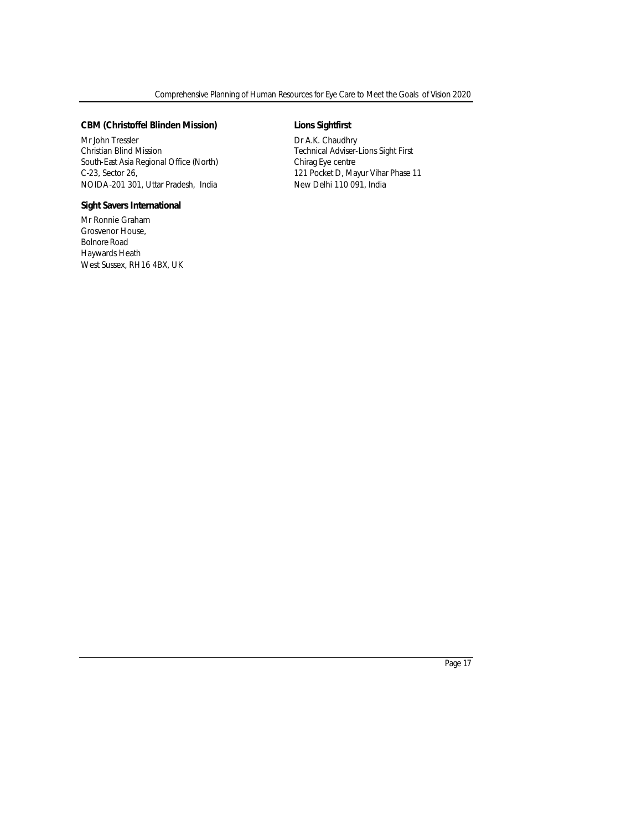#### **CBM (Christoffel Blinden Mission)**

Mr John Tressler Christian Blind Mission South-East Asia Regional Office (North) C-23, Sector 26, NOIDA-201 301, Uttar Pradesh, India

#### **Sight Savers International**

Mr Ronnie Graham Grosvenor House, Bolnore Road Haywards Heath West Sussex, RH16 4BX, UK

#### **Lions Sightfirst**

Dr A.K. Chaudhry Technical Adviser-Lions Sight First Chirag Eye centre 121 Pocket D, Mayur Vihar Phase 11 New Delhi 110 091, India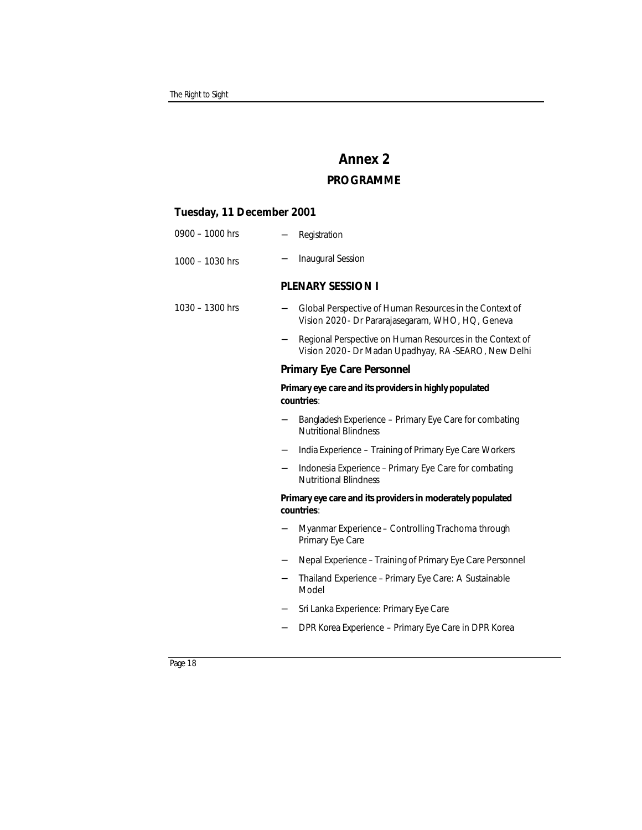# **Annex 2 PROGRAMME**

#### **Tuesday, 11 December 2001**

| $0900 - 1000$ hrs |  | Registration |
|-------------------|--|--------------|
|-------------------|--|--------------|

1000 – 1030 hrs − Inaugural Session

#### **PLENARY SESSION I**

| 1030 - 1300 hrs | Global Perspective of Human Resources in the Context of |
|-----------------|---------------------------------------------------------|
|                 | Vision 2020 - Dr Pararajasegaram, WHO, HQ, Geneva       |

Regional Perspective on Human Resources in the Context of Vision 2020 - Dr Madan Upadhyay, RA -SEARO, New Delhi

# **Primary Eye Care Personnel**

#### *Primary eye care and its providers in highly populated countries*:

- Bangladesh Experience Primary Eye Care for combating Nutritional Blindness
- − India Experience Training of Primary Eye Care Workers
- − Indonesia Experience Primary Eye Care for combating Nutritional Blindness

#### *Primary eye care and its providers in moderately populated countries*:

- − Myanmar Experience Controlling Trachoma through Primary Eye Care
- Nepal Experience Training of Primary Eye Care Personnel
- − Thailand Experience Primary Eye Care: A Sustainable Model
- − Sri Lanka Experience: Primary Eye Care
- − DPR Korea Experience Primary Eye Care in DPR Korea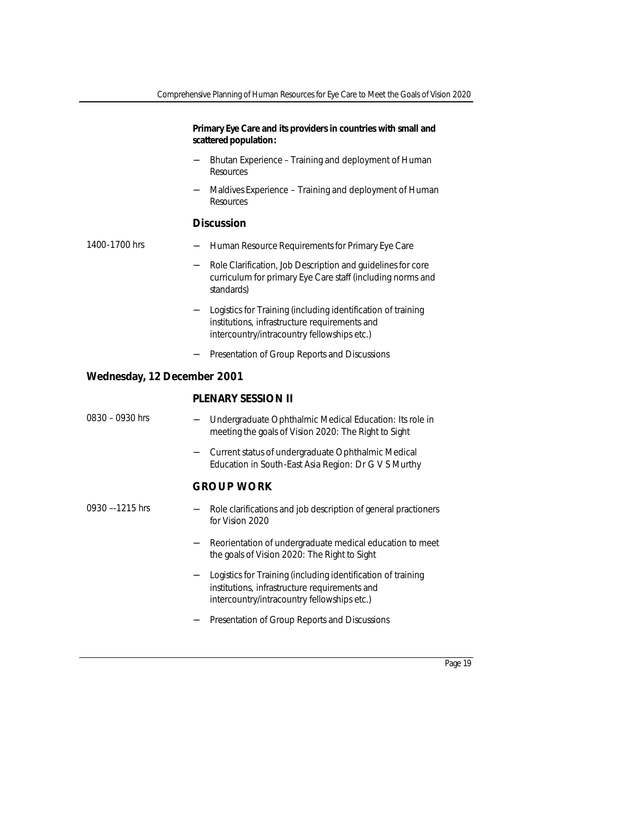## *Primary Eye Care and its providers in countries with small and scattered population***:**

- − Bhutan Experience Training and deployment of Human **Resources**
- Maldives Experience Training and deployment of Human **Resources**

#### **Discussion**

| 1400-1700 hrs |  | Human Resource Requirements for Primary Eye Care |  |  |  |  |
|---------------|--|--------------------------------------------------|--|--|--|--|
|---------------|--|--------------------------------------------------|--|--|--|--|

- − Role Clarification, Job Description and guidelines for core curriculum for primary Eye Care staff (including norms and standards)
- − Logistics for Training (including identification of training institutions, infrastructure requirements and intercountry/intracountry fellowships etc.)
- − Presentation of Group Reports and Discussions

#### **Wednesday, 12 December 2001**

#### **PLENARY SESSION II**

| $0830 - 0930$ hrs | - Undergraduate Ophthalmic Medical Education: Its role in |
|-------------------|-----------------------------------------------------------|
|                   | meeting the goals of Vision 2020: The Right to Sight      |

− Current status of undergraduate Ophthalmic Medical Education in South-East Asia Region: Dr G V S Murthy

## **GROUP WORK**

- Role clarifications and job description of general practioners for Vision 2020  $0930 - 1215$  hrs
	- − Reorientation of undergraduate medical education to meet the goals of Vision 2020: The Right to Sight
	- − Logistics for Training (including identification of training institutions, infrastructure requirements and intercountry/intracountry fellowships etc.)
	- − Presentation of Group Reports and Discussions

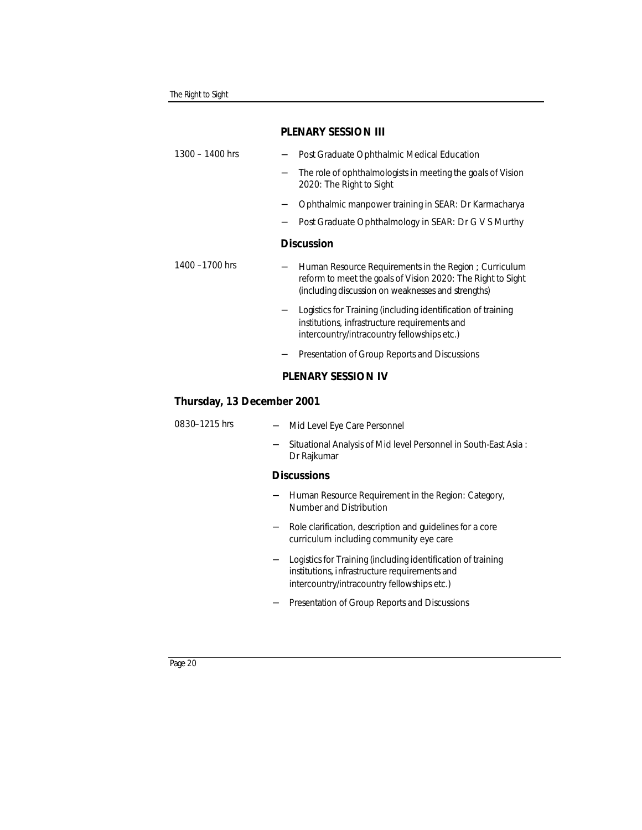| $1300 - 1400$ hrs          |  | Post Graduate Ophthalmic Medical Education                                                                                                                                 |  |  |
|----------------------------|--|----------------------------------------------------------------------------------------------------------------------------------------------------------------------------|--|--|
|                            |  | The role of ophthalmologists in meeting the goals of Vision<br>2020: The Right to Sight                                                                                    |  |  |
|                            |  | Ophthalmic manpower training in SEAR: Dr Karmacharya                                                                                                                       |  |  |
|                            |  | Post Graduate Ophthalmology in SEAR: Dr G V S Murthy                                                                                                                       |  |  |
|                            |  | <b>Discussion</b>                                                                                                                                                          |  |  |
| 1400 $-1700$ hrs           |  | Human Resource Requirements in the Region; Curriculum<br>reform to meet the goals of Vision 2020: The Right to Sight<br>(including discussion on weaknesses and strengths) |  |  |
|                            |  | Logistics for Training (including identification of training<br>institutions, infrastructure requirements and<br>intercountry/intracountry fellowships etc.)               |  |  |
|                            |  | Presentation of Group Reports and Discussions                                                                                                                              |  |  |
|                            |  | <b>PLENARY SESSION IV</b>                                                                                                                                                  |  |  |
| Thursday, 13 December 2001 |  |                                                                                                                                                                            |  |  |
| 0830-1215 hrs              |  | Mid Level Eye Care Personnel                                                                                                                                               |  |  |

− Situational Analysis of Mid level Personnel in South-East Asia : Dr Rajkumar

# **Discussions**

- − Human Resource Requirement in the Region: Category, Number and Distribution
- − Role clarification, description and guidelines for a core curriculum including community eye care
- − Logistics for Training (including identification of training institutions, infrastructure requirements and intercountry/intracountry fellowships etc.)
- − Presentation of Group Reports and Discussions

## **PLENARY SESSION III**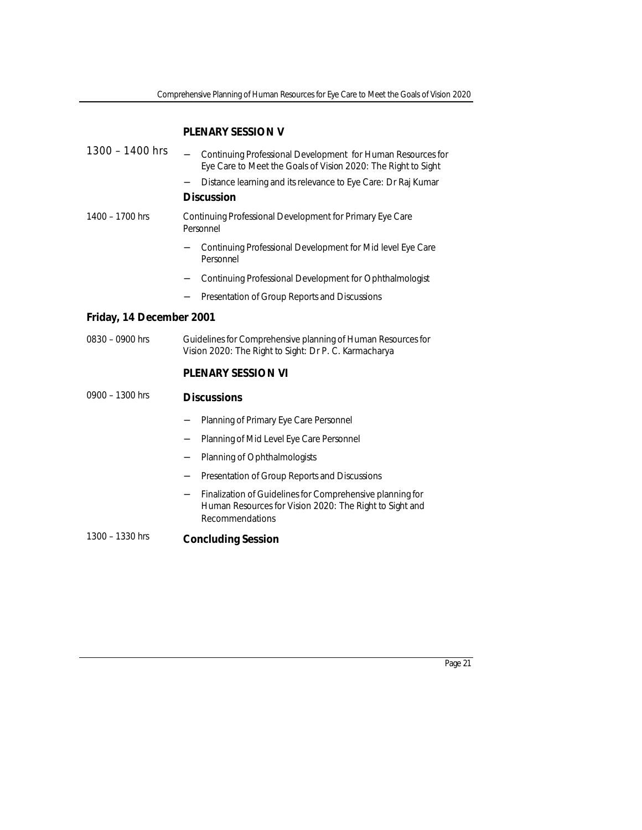# **PLENARY SESSION V**

| $1300 - 1400$ hrs        |                                                                                                                       |                                                                                                                                                |  |  |  |
|--------------------------|-----------------------------------------------------------------------------------------------------------------------|------------------------------------------------------------------------------------------------------------------------------------------------|--|--|--|
|                          |                                                                                                                       | Continuing Professional Development for Human Resources for<br>Eye Care to Meet the Goals of Vision 2020: The Right to Sight                   |  |  |  |
|                          |                                                                                                                       | Distance learning and its relevance to Eye Care: Dr Raj Kumar                                                                                  |  |  |  |
|                          |                                                                                                                       | <b>Discussion</b>                                                                                                                              |  |  |  |
| 1400 - 1700 hrs          |                                                                                                                       | Continuing Professional Development for Primary Eye Care<br>Personnel                                                                          |  |  |  |
|                          |                                                                                                                       | Continuing Professional Development for Mid level Eye Care<br>Personnel                                                                        |  |  |  |
|                          |                                                                                                                       | Continuing Professional Development for Ophthalmologist                                                                                        |  |  |  |
|                          |                                                                                                                       | Presentation of Group Reports and Discussions                                                                                                  |  |  |  |
| Friday, 14 December 2001 |                                                                                                                       |                                                                                                                                                |  |  |  |
| $0830 - 0900$ hrs        | Guidelines for Comprehensive planning of Human Resources for<br>Vision 2020: The Right to Sight: Dr P. C. Karmacharya |                                                                                                                                                |  |  |  |
|                          |                                                                                                                       | <b>PLENARY SESSION VI</b>                                                                                                                      |  |  |  |
| $0900 - 1300$ hrs        |                                                                                                                       | <b>Discussions</b>                                                                                                                             |  |  |  |
|                          |                                                                                                                       | Planning of Primary Eye Care Personnel                                                                                                         |  |  |  |
|                          |                                                                                                                       | Planning of Mid Level Eye Care Personnel                                                                                                       |  |  |  |
|                          | $\overline{\phantom{0}}$                                                                                              | Planning of Ophthalmologists                                                                                                                   |  |  |  |
|                          | $\qquad \qquad -$                                                                                                     | Presentation of Group Reports and Discussions                                                                                                  |  |  |  |
|                          |                                                                                                                       | Finalization of Guidelines for Comprehensive planning for<br>Human Resources for Vision 2020: The Right to Sight and<br><b>Recommendations</b> |  |  |  |
| 1300 - 1330 hrs          |                                                                                                                       | <b>Concluding Session</b>                                                                                                                      |  |  |  |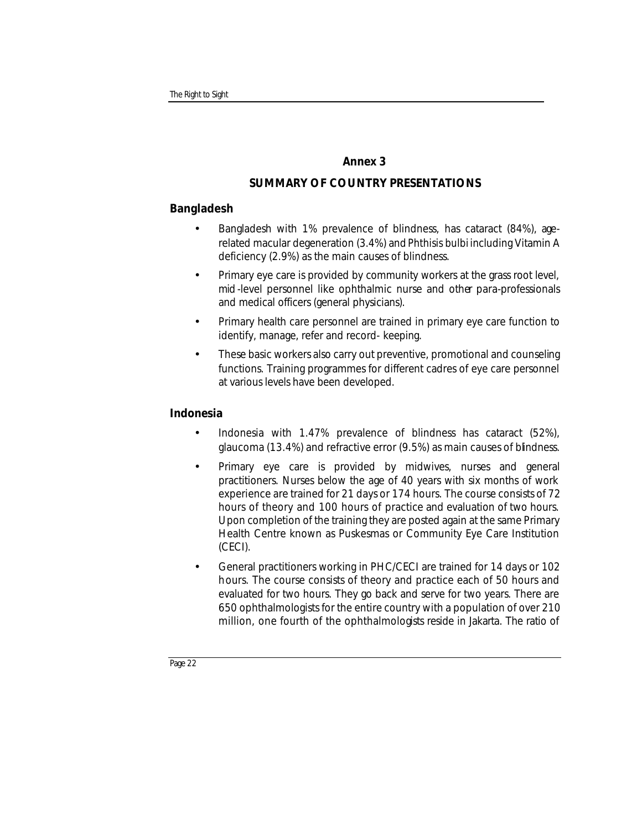# **Annex 3**

# **SUMMARY OF COUNTRY PRESENTATIONS**

# **Bangladesh**

- Bangladesh with 1% prevalence of blindness, has cataract (84%), agerelated macular degeneration (3.4%) and *Phthisis bulbi* including Vitamin A deficiency (2.9%) as the main causes of blindness.
- Primary eye care is provided by community workers at the grass root level, mid -level personnel like ophthalmic nurse and other para-professionals and medical officers (general physicians).
- Primary health care personnel are trained in primary eye care function to identify, manage, refer and record- keeping.
- These basic workers also carry out preventive, promotional and counseling functions. Training programmes for different cadres of eye care personnel at various levels have been developed.

# **Indonesia**

- Indonesia with 1.47% prevalence of blindness has cataract (52%), glaucoma (13.4%) and refractive error (9.5%) as main causes of blindness.
- Primary eye care is provided by midwives, nurses and general practitioners. Nurses below the age of 40 years with six months of work experience are trained for 21 days or 174 hours. The course consists of 72 hours of theory and 100 hours of practice and evaluation of two hours. Upon completion of the training they are posted again at the same Primary Health Centre known as Puskesmas or Community Eye Care Institution (CECI).
- General practitioners working in PHC/CECI are trained for 14 days or 102 hours. The course consists of theory and practice each of 50 hours and evaluated for two hours. They go back and serve for two years. There are 650 ophthalmologists for the entire country with a population of over 210 million, one fourth of the ophthalmologists reside in Jakarta. The ratio of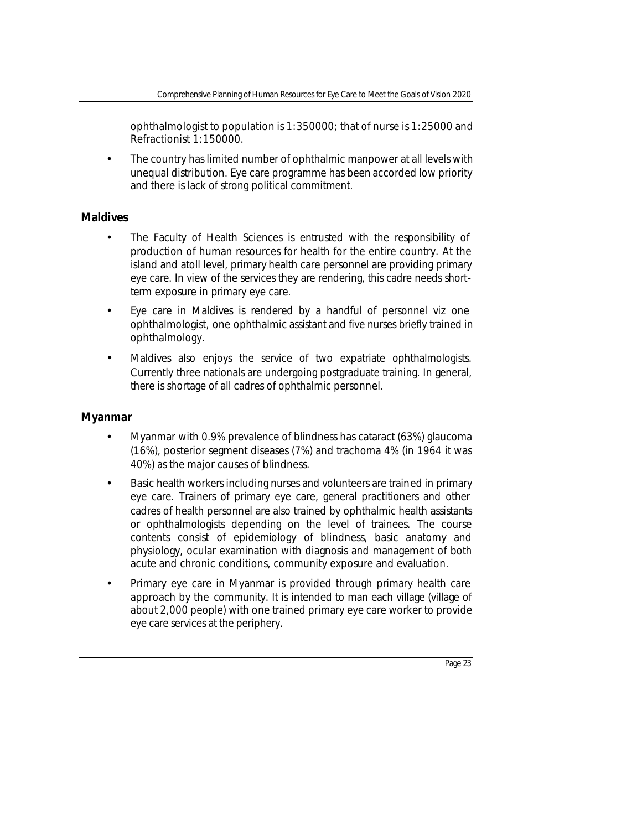ophthalmologist to population is 1:350000; that of nurse is 1:25000 and Refractionist 1:150000.

• The country has limited number of ophthalmic manpower at all levels with unequal distribution. Eye care programme has been accorded low priority and there is lack of strong political commitment.

# **Maldives**

- The Faculty of Health Sciences is entrusted with the responsibility of production of human resources for health for the entire country. At the island and atoll level, primary health care personnel are providing primary eye care. In view of the services they are rendering, this cadre needs shortterm exposure in primary eye care.
- Eye care in Maldives is rendered by a handful of personnel viz one ophthalmologist, one ophthalmic assistant and five nurses briefly trained in ophthalmology.
- Maldives also enjoys the service of two expatriate ophthalmologists. Currently three nationals are undergoing postgraduate training. In general, there is shortage of all cadres of ophthalmic personnel.

# **Myanmar**

- Myanmar with 0.9% prevalence of blindness has cataract (63%) glaucoma (16%), posterior segment diseases (7%) and trachoma 4% (in 1964 it was 40%) as the major causes of blindness.
- Basic health workers including nurses and volunteers are trained in primary eye care. Trainers of primary eye care, general practitioners and other cadres of health personnel are also trained by ophthalmic health assistants or ophthalmologists depending on the level of trainees. The course contents consist of epidemiology of blindness, basic anatomy and physiology, ocular examination with diagnosis and management of both acute and chronic conditions, community exposure and evaluation.
- Primary eye care in Myanmar is provided through primary health care approach by the community. It is intended to man each village (village of about 2,000 people) with one trained primary eye care worker to provide eye care services at the periphery.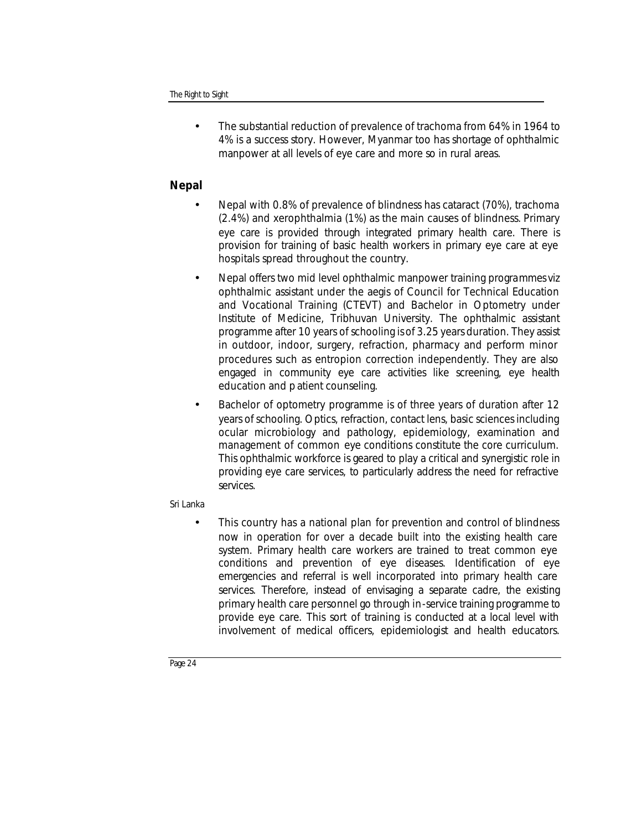• The substantial reduction of prevalence of trachoma from 64% in 1964 to 4% is a success story. However, Myanmar too has shortage of ophthalmic manpower at all levels of eye care and more so in rural areas.

# **Nepal**

- Nepal with 0.8% of prevalence of blindness has cataract (70%), trachoma (2.4%) and xerophthalmia (1%) as the main causes of blindness. Primary eye care is provided through integrated primary health care. There is provision for training of basic health workers in primary eye care at eye hospitals spread throughout the country.
- Nepal offers two mid level ophthalmic manpower training programmes viz ophthalmic assistant under the aegis of Council for Technical Education and Vocational Training (CTEVT) and Bachelor in Optometry under Institute of Medicine, Tribhuvan University. The ophthalmic assistant programme after 10 years of schooling is of 3.25 years duration. They assist in outdoor, indoor, surgery, refraction, pharmacy and perform minor procedures such as entropion correction independently. They are also engaged in community eye care activities like screening, eye health education and p atient counseling.
- Bachelor of optometry programme is of three years of duration after 12 years of schooling. Optics, refraction, contact lens, basic sciences including ocular microbiology and pathology, epidemiology, examination and management of common eye conditions constitute the core curriculum. This ophthalmic workforce is geared to play a critical and synergistic role in providing eye care services, to particularly address the need for refractive services.

# Sri Lanka

This country has a national plan for prevention and control of blindness now in operation for over a decade built into the existing health care system. Primary health care workers are trained to treat common eye conditions and prevention of eye diseases. Identification of eye emergencies and referral is well incorporated into primary health care services. Therefore, instead of envisaging a separate cadre, the existing primary health care personnel go through in-service training programme to provide eye care. This sort of training is conducted at a local level with involvement of medical officers, epidemiologist and health educators.